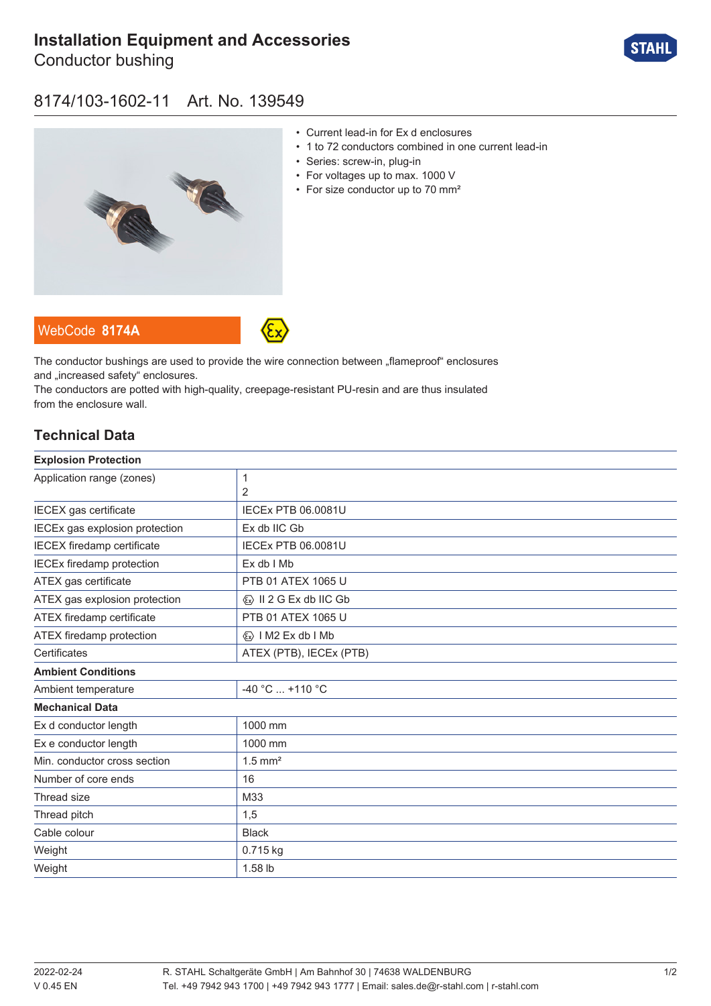# **[Installation Equipment and Accessories](https://r-stahl.com/en/global/products/materialid/139549)**

Conductor bushing



### 8174/103-1602-11 Art. No. 139549



- Current lead-in for Ex d enclosures
- 1 to 72 conductors combined in one current lead-in
- Series: screw-in, plug-in
- For voltages up to max. 1000 V
- For size conductor up to 70 mm<sup>2</sup>

WebCode **[8174A](https://r-stahl.com/en/global/products/downloads/webcode/8174A)**



The conductor bushings are used to provide the wire connection between "flameproof" enclosures and .increased safety" enclosures.

The conductors are potted with high-quality, creepage-resistant PU-resin and are thus insulated from the enclosure wall.

### **Technical Data**

| <b>Explosion Protection</b>       |                                         |
|-----------------------------------|-----------------------------------------|
| Application range (zones)         | $\mathbf 1$                             |
|                                   | $\overline{2}$                          |
| IECEX gas certificate             | <b>IECEX PTB 06.0081U</b>               |
| IECEx gas explosion protection    | Ex db IIC Gb                            |
| <b>IECEX</b> firedamp certificate | <b>IECEx PTB 06.0081U</b>               |
| <b>IECEx firedamp protection</b>  | $Ex$ db $I$ Mb                          |
| ATEX gas certificate              | PTB 01 ATEX 1065 U                      |
| ATEX gas explosion protection     | $\langle x \rangle$ II 2 G Ex db IIC Gb |
| ATEX firedamp certificate         | PTB 01 ATEX 1065 U                      |
| ATEX firedamp protection          | $\langle x \rangle$   M2 Ex db   Mb     |
| Certificates                      | ATEX (PTB), IECEx (PTB)                 |
| <b>Ambient Conditions</b>         |                                         |
| Ambient temperature               | $-40 °C  +110 °C$                       |
| <b>Mechanical Data</b>            |                                         |
| Ex d conductor length             | 1000 mm                                 |
| Ex e conductor length             | 1000 mm                                 |
| Min. conductor cross section      | $1.5$ mm <sup>2</sup>                   |
| Number of core ends               | 16                                      |
| Thread size                       | M33                                     |
| Thread pitch                      | 1,5                                     |
| Cable colour                      | <b>Black</b>                            |
| Weight                            | 0.715 kg                                |
| Weight                            | 1.58 lb                                 |